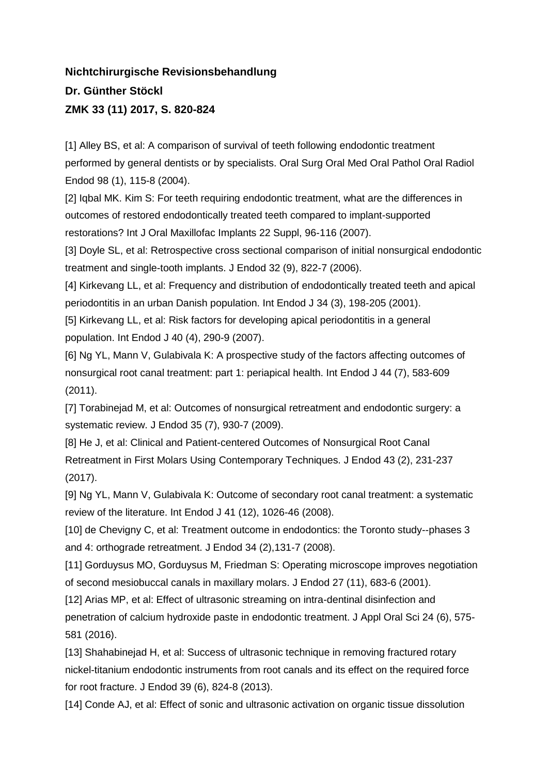## **Nichtchirurgische Revisionsbehandlung Dr. Günther Stöckl ZMK 33 (11) 2017, S. 820-824**

[1] Alley BS, et al: A comparison of survival of teeth following endodontic treatment performed by general dentists or by specialists. Oral Surg Oral Med Oral Pathol Oral Radiol Endod 98 (1), 115-8 (2004).

[2] Igbal MK. Kim S: For teeth requiring endodontic treatment, what are the differences in outcomes of restored endodontically treated teeth compared to implant-supported restorations? Int J Oral Maxillofac Implants 22 Suppl, 96-116 (2007).

[3] Doyle SL, et al: Retrospective cross sectional comparison of initial nonsurgical endodontic treatment and single-tooth implants. J Endod 32 (9), 822-7 (2006).

[4] Kirkevang LL, et al: Frequency and distribution of endodontically treated teeth and apical periodontitis in an urban Danish population. Int Endod J 34 (3), 198-205 (2001).

[5] Kirkevang LL, et al: Risk factors for developing apical periodontitis in a general population. Int Endod J 40 (4), 290-9 (2007).

[6] Ng YL, Mann V, Gulabivala K: A prospective study of the factors affecting outcomes of nonsurgical root canal treatment: part 1: periapical health. Int Endod J 44 (7), 583-609 (2011).

[7] Torabinejad M, et al: Outcomes of nonsurgical retreatment and endodontic surgery: a systematic review. J Endod 35 (7), 930-7 (2009).

[8] He J, et al: Clinical and Patient-centered Outcomes of Nonsurgical Root Canal Retreatment in First Molars Using Contemporary Techniques. J Endod 43 (2), 231-237 (2017).

[9] Ng YL, Mann V, Gulabivala K: Outcome of secondary root canal treatment: a systematic review of the literature. Int Endod J 41 (12), 1026-46 (2008).

[10] de Chevigny C, et al: Treatment outcome in endodontics: the Toronto study--phases 3 and 4: orthograde retreatment. J Endod 34 (2),131-7 (2008).

[11] Gorduysus MO, Gorduysus M, Friedman S: Operating microscope improves negotiation of second mesiobuccal canals in maxillary molars. J Endod 27 (11), 683-6 (2001).

[12] Arias MP, et al: Effect of ultrasonic streaming on intra-dentinal disinfection and penetration of calcium hydroxide paste in endodontic treatment. J Appl Oral Sci 24 (6), 575- 581 (2016).

[13] Shahabinejad H, et al: Success of ultrasonic technique in removing fractured rotary nickel-titanium endodontic instruments from root canals and its effect on the required force for root fracture. J Endod 39 (6), 824-8 (2013).

[14] Conde AJ, et al: Effect of sonic and ultrasonic activation on organic tissue dissolution